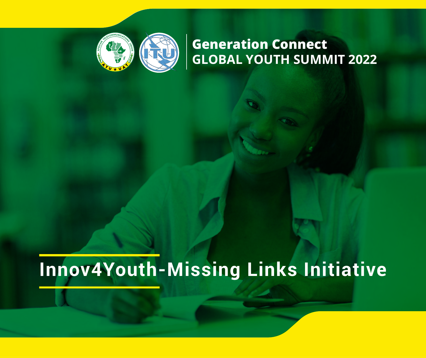

# **Generation Connect GLOBAL YOUTH SUMMIT 2022**

# **Innov4Youth-Missing Links Initiative**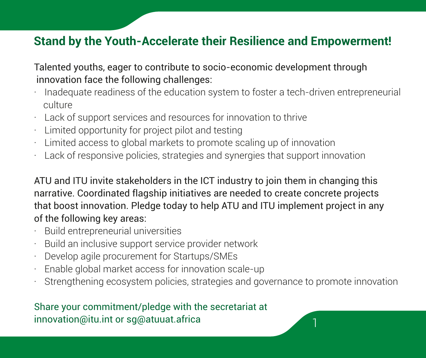## **Stand by the Youth-Accelerate their Resilience and Empowerment!**

Talented youths, eager to contribute to socio-economic development through innovation face the following challenges:

- · Inadequate readiness of the education system to foster a tech-driven entrepreneurial culture
- · Lack of support services and resources for innovation to thrive
- · Limited opportunity for project pilot and testing
- Limited access to global markets to promote scaling up of innovation
- Lack of responsive policies, strategies and synergies that support innovation

ATU and ITU invite stakeholders in the ICT industry to join them in changing this narrative. Coordinated flagship initiatives are needed to create concrete projects that boost innovation. Pledge today to help ATU and ITU implement project in any of the following key areas:

- · Build entrepreneurial universities
- Build an inclusive support service provider network
- · Develop agile procurement for Startups/SMEs
- Enable global market access for innovation scale-up
- Strengthening ecosystem policies, strategies and governance to promote innovation

Share your commitment/pledge with the secretariat at innovation@itu.int or sg@atuuat.africa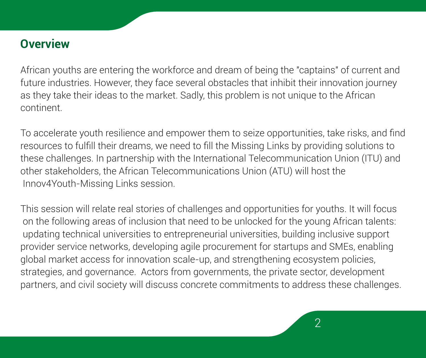## **Overview**

African youths are entering the workforce and dream of being the "captains" of current and future industries. However, they face several obstacles that inhibit their innovation journey as they take their ideas to the market. Sadly, this problem is not unique to the African continent.

To accelerate youth resilience and empower them to seize opportunities, take risks, and find resources to fulfill their dreams, we need to fill the Missing Links by providing solutions to these challenges. In partnership with the International Telecommunication Union (ITU) and other stakeholders, the African Telecommunications Union (ATU) will host the Innov4Youth-Missing Links session.

This session will relate real stories of challenges and opportunities for youths. It will focus on the following areas of inclusion that need to be unlocked for the young African talents: updating technical universities to entrepreneurial universities, building inclusive support provider service networks, developing agile procurement for startups and SMEs, enabling global market access for innovation scale-up, and strengthening ecosystem policies, strategies, and governance. Actors from governments, the private sector, development partners, and civil society will discuss concrete commitments to address these challenges.